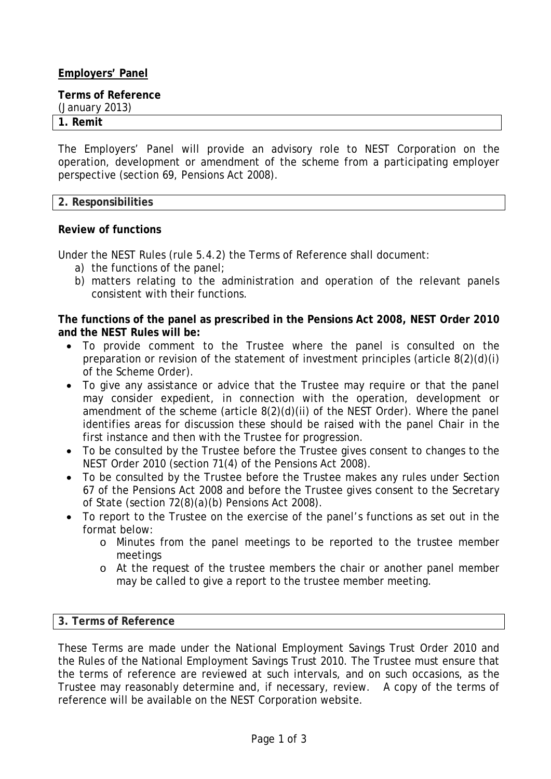# **Employers' Panel**

**Terms of Reference** 

(January 2013)

## **1. Remit**

The Employers' Panel will provide an advisory role to NEST Corporation on the operation, development or amendment of the scheme from a participating employer perspective (section 69, Pensions Act 2008).

## **2. Responsibilities**

# **Review of functions**

Under the NEST Rules (rule 5.4.2) the Terms of Reference shall document:

- a) the functions of the panel;
- b) matters relating to the administration and operation of the relevant panels consistent with their functions.

**The functions of the panel as prescribed in the Pensions Act 2008, NEST Order 2010 and the NEST Rules will be:** 

- To provide comment to the Trustee where the panel is consulted on the preparation or revision of the statement of investment principles (article 8(2)(d)(i) of the Scheme Order).
- To give any assistance or advice that the Trustee may require or that the panel may consider expedient, in connection with the operation, development or amendment of the scheme (article 8(2)(d)(ii) of the NEST Order). Where the panel identifies areas for discussion these should be raised with the panel Chair in the first instance and then with the Trustee for progression.
- To be consulted by the Trustee before the Trustee gives consent to changes to the NEST Order 2010 (section 71(4) of the Pensions Act 2008).
- To be consulted by the Trustee before the Trustee makes any rules under Section 67 of the Pensions Act 2008 and before the Trustee gives consent to the Secretary of State (section 72(8)(a)(b) Pensions Act 2008).
- To report to the Trustee on the exercise of the panel's functions as set out in the format below:
	- o Minutes from the panel meetings to be reported to the trustee member meetings
	- o At the request of the trustee members the chair or another panel member may be called to give a report to the trustee member meeting.

## **3. Terms of Reference**

These Terms are made under the National Employment Savings Trust Order 2010 and the Rules of the National Employment Savings Trust 2010. The Trustee must ensure that the terms of reference are reviewed at such intervals, and on such occasions, as the Trustee may reasonably determine and, if necessary, review. A copy of the terms of reference will be available on the NEST Corporation website.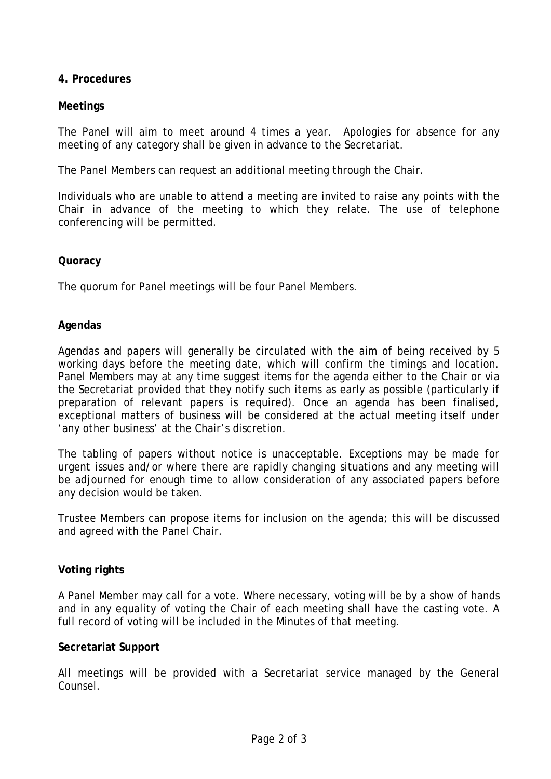**4. Procedures**

### **Meetings**

The Panel will aim to meet around 4 times a year. Apologies for absence for any meeting of any category shall be given in advance to the Secretariat.

The Panel Members can request an additional meeting through the Chair.

Individuals who are unable to attend a meeting are invited to raise any points with the Chair in advance of the meeting to which they relate. The use of telephone conferencing will be permitted.

#### **Quoracy**

The quorum for Panel meetings will be four Panel Members.

#### **Agendas**

Agendas and papers will generally be circulated with the aim of being received by 5 working days before the meeting date, which will confirm the timings and location. Panel Members may at any time suggest items for the agenda either to the Chair or via the Secretariat provided that they notify such items as early as possible (particularly if preparation of relevant papers is required). Once an agenda has been finalised, exceptional matters of business will be considered at the actual meeting itself under 'any other business' at the Chair's discretion.

The tabling of papers without notice is unacceptable. Exceptions may be made for urgent issues and/or where there are rapidly changing situations and any meeting will be adjourned for enough time to allow consideration of any associated papers before any decision would be taken.

Trustee Members can propose items for inclusion on the agenda; this will be discussed and agreed with the Panel Chair.

## **Voting rights**

A Panel Member may call for a vote. Where necessary, voting will be by a show of hands and in any equality of voting the Chair of each meeting shall have the casting vote. A full record of voting will be included in the Minutes of that meeting.

#### **Secretariat Support**

All meetings will be provided with a Secretariat service managed by the General Counsel.